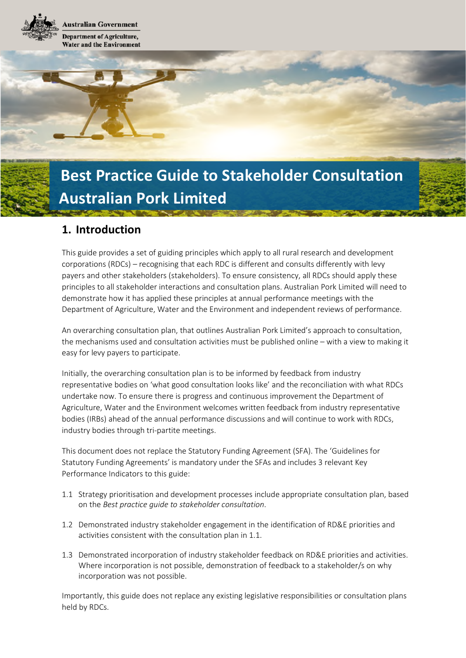**Lustralian Government Department of Agriculture, Water and the Environment** 

# **Best Practice Guide to Stakeholder Consultation Australian Pork Limited**

## **1. Introduction**

This guide provides a set of guiding principles which apply to all rural research and development corporations (RDCs) – recognising that each RDC is different and consults differently with levy payers and other stakeholders (stakeholders). To ensure consistency, all RDCs should apply these principles to all stakeholder interactions and consultation plans. Australian Pork Limited will need to demonstrate how it has applied these principles at annual performance meetings with the Department of Agriculture, Water and the Environment and independent reviews of performance.

An overarching consultation plan, that outlines Australian Pork Limited's approach to consultation, the mechanisms used and consultation activities must be published online – with a view to making it easy for levy payers to participate.

Initially, the overarching consultation plan is to be informed by feedback from industry representative bodies on 'what good consultation looks like' and the reconciliation with what RDCs undertake now. To ensure there is progress and continuous improvement the Department of Agriculture, Water and the Environment welcomes written feedback from industry representative bodies (IRBs) ahead of the annual performance discussions and will continue to work with RDCs, industry bodies through tri-partite meetings.

This document does not replace the Statutory Funding Agreement (SFA). The 'Guidelines for Statutory Funding Agreements' is mandatory under the SFAs and includes 3 relevant Key Performance Indicators to this guide:

- 1.1 Strategy prioritisation and development processes include appropriate consultation plan, based on the *Best practice guide to stakeholder consultation*.
- 1.2 Demonstrated industry stakeholder engagement in the identification of RD&E priorities and activities consistent with the consultation plan in 1.1.
- 1.3 Demonstrated incorporation of industry stakeholder feedback on RD&E priorities and activities. Where incorporation is not possible, demonstration of feedback to a stakeholder/s on why incorporation was not possible.

Importantly, this guide does not replace any existing legislative responsibilities or consultation plans held by RDCs.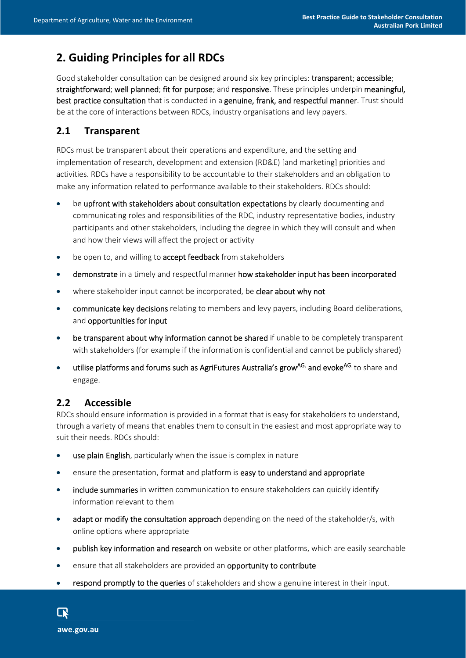# **2. Guiding Principles for all RDCs**

Good stakeholder consultation can be designed around six key principles: transparent; accessible; straightforward; well planned; fit for purpose; and responsive. These principles underpin meaningful, best practice consultation that is conducted in a genuine, frank, and respectful manner. Trust should be at the core of interactions between RDCs, industry organisations and levy payers.

### **2.1 Transparent**

RDCs must be transparent about their operations and expenditure, and the setting and implementation of research, development and extension (RD&E) [and marketing] priorities and activities. RDCs have a responsibility to be accountable to their stakeholders and an obligation to make any information related to performance available to their stakeholders. RDCs should:

- be upfront with stakeholders about consultation expectations by clearly documenting and communicating roles and responsibilities of the RDC, industry representative bodies, industry participants and other stakeholders, including the degree in which they will consult and when and how their views will affect the project or activity
- be open to, and willing to **accept feedback** from stakeholders
- demonstrate in a timely and respectful manner how stakeholder input has been incorporated
- where stakeholder input cannot be incorporated, be clear about why not
- communicate key decisions relating to members and levy payers, including Board deliberations, and opportunities for input
- be transparent about why information cannot be shared if unable to be completely transparent with stakeholders (for example if the information is confidential and cannot be publicly shared)
- utilise platforms and forums such as AgriFutures Australia's grow<sup>AG.</sup> and evoke<sup>AG.</sup> to share and engage.

## **2.2 Accessible**

RDCs should ensure information is provided in a format that is easy for stakeholders to understand, through a variety of means that enables them to consult in the easiest and most appropriate way to suit their needs. RDCs should:

- **use plain English**, particularly when the issue is complex in nature
- ensure the presentation, format and platform is easy to understand and appropriate
- include summaries in written communication to ensure stakeholders can quickly identify information relevant to them
- adapt or modify the consultation approach depending on the need of the stakeholder/s, with online options where appropriate
- **•** publish key information and research on website or other platforms, which are easily searchable
- **e** ensure that all stakeholders are provided an **opportunity to contribute**
- respond promptly to the queries of stakeholders and show a genuine interest in their input.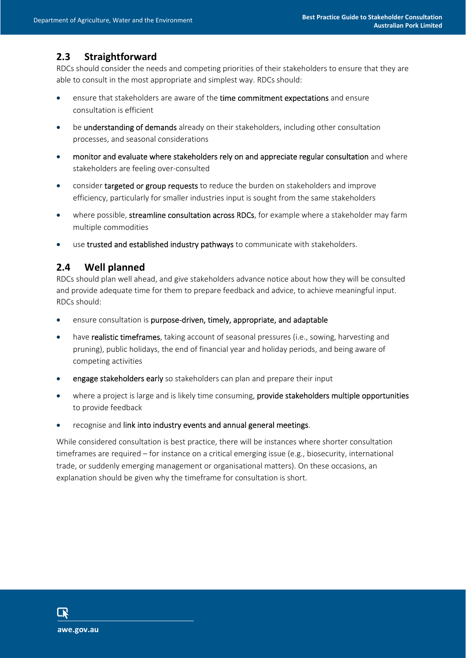## **2.3 Straightforward**

RDCs should consider the needs and competing priorities of their stakeholders to ensure that they are able to consult in the most appropriate and simplest way. RDCs should:

- ensure that stakeholders are aware of the time commitment expectations and ensure consultation is efficient
- **•** be understanding of demands already on their stakeholders, including other consultation processes, and seasonal considerations
- monitor and evaluate where stakeholders rely on and appreciate regular consultation and where stakeholders are feeling over-consulted
- consider targeted or group requests to reduce the burden on stakeholders and improve efficiency, particularly for smaller industries input is sought from the same stakeholders
- where possible, streamline consultation across RDCs, for example where a stakeholder may farm multiple commodities
- use trusted and established industry pathways to communicate with stakeholders.

#### **2.4 Well planned**

RDCs should plan well ahead, and give stakeholders advance notice about how they will be consulted and provide adequate time for them to prepare feedback and advice, to achieve meaningful input. RDCs should:

- ensure consultation is purpose-driven, timely, appropriate, and adaptable
- have realistic timeframes, taking account of seasonal pressures (i.e., sowing, harvesting and pruning), public holidays, the end of financial year and holiday periods, and being aware of competing activities
- **e** engage stakeholders early so stakeholders can plan and prepare their input
- where a project is large and is likely time consuming, provide stakeholders multiple opportunities to provide feedback
- recognise and link into industry events and annual general meetings.

While considered consultation is best practice, there will be instances where shorter consultation timeframes are required – for instance on a critical emerging issue (e.g., biosecurity, international trade, or suddenly emerging management or organisational matters). On these occasions, an explanation should be given why the timeframe for consultation is short.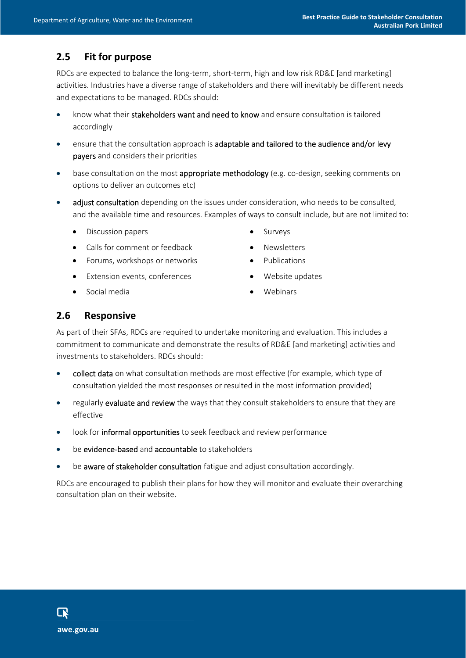## **2.5 Fit for purpose**

RDCs are expected to balance the long-term, short-term, high and low risk RD&E [and marketing] activities. Industries have a diverse range of stakeholders and there will inevitably be different needs and expectations to be managed. RDCs should:

- know what their stakeholders want and need to know and ensure consultation is tailored accordingly
- ensure that the consultation approach is adaptable and tailored to the audience and/or levy payers and considers their priorities
- base consultation on the most appropriate methodology (e.g. co-design, seeking comments on options to deliver an outcomes etc)
- adjust consultation depending on the issues under consideration, who needs to be consulted, and the available time and resources. Examples of ways to consult include, but are not limited to:
	- Discussion papers Surveys
	- Calls for comment or feedback Newsletters
	- Forums, workshops or networks **•** Publications
	- Extension events, conferences Nebsite updates
	- Social media **No. 1988** Webinars
- 
- 
- 
- -

#### **2.6 Responsive**

As part of their SFAs, RDCs are required to undertake monitoring and evaluation. This includes a commitment to communicate and demonstrate the results of RD&E [and marketing] activities and investments to stakeholders. RDCs should:

- collect data on what consultation methods are most effective (for example, which type of consultation yielded the most responses or resulted in the most information provided)
- regularly evaluate and review the ways that they consult stakeholders to ensure that they are effective
- look for informal opportunities to seek feedback and review performance
- be evidence-based and accountable to stakeholders
- be aware of stakeholder consultation fatigue and adjust consultation accordingly.

RDCs are encouraged to publish their plans for how they will monitor and evaluate their overarching consultation plan on their website.